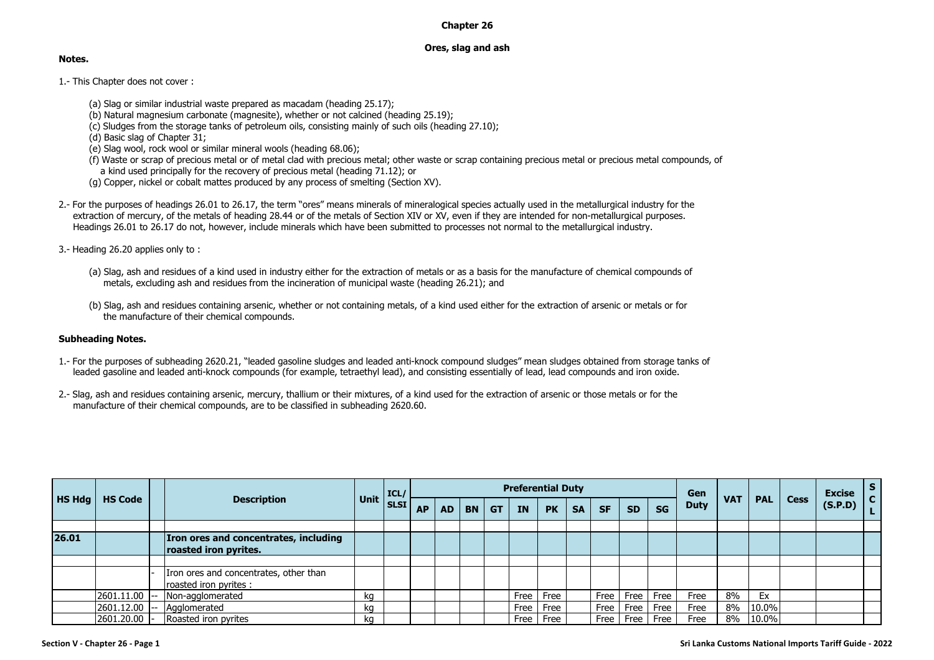## **Chapter 26**

## **Ores, slag and ash**

## **Notes.**

- 1.- This Chapter does not cover :
	- (a) Slag or similar industrial waste prepared as macadam (heading 25.17);
	- (b) Natural magnesium carbonate (magnesite), whether or not calcined (heading 25.19);
	- (c) Sludges from the storage tanks of petroleum oils, consisting mainly of such oils (heading 27.10);
	- (d) Basic slag of Chapter 31;
	- (e) Slag wool, rock wool or similar mineral wools (heading 68.06);
	- (f) Waste or scrap of precious metal or of metal clad with precious metal; other waste or scrap containing precious metal or precious metal compounds, of a kind used principally for the recovery of precious metal (heading 71.12); or
	- (g) Copper, nickel or cobalt mattes produced by any process of smelting (Section XV).
- 2.- For the purposes of headings 26.01 to 26.17, the term "ores" means minerals of mineralogical species actually used in the metallurgical industry for the extraction of mercury, of the metals of heading 28.44 or of the metals of Section XIV or XV, even if they are intended for non-metallurgical purposes. Headings 26.01 to 26.17 do not, however, include minerals which have been submitted to processes not normal to the metallurgical industry.
- 3.- Heading 26.20 applies only to :
	- (a) Slag, ash and residues of a kind used in industry either for the extraction of metals or as a basis for the manufacture of chemical compounds of metals, excluding ash and residues from the incineration of municipal waste (heading 26.21); and
	- (b) Slag, ash and residues containing arsenic, whether or not containing metals, of a kind used either for the extraction of arsenic or metals or for the manufacture of their chemical compounds.

## **Subheading Notes.**

- 1.- For the purposes of subheading 2620.21, "leaded gasoline sludges and leaded anti-knock compound sludges" mean sludges obtained from storage tanks of leaded gasoline and leaded anti-knock compounds (for example, tetraethyl lead), and consisting essentially of lead, lead compounds and iron oxide.
- 2.- Slag, ash and residues containing arsenic, mercury, thallium or their mixtures, of a kind used for the extraction of arsenic or those metals or for the manufacture of their chemical compounds, are to be classified in subheading 2620.60.

|           |                 | <b>Description</b>                                                    | Unit | ICL/<br><b>SLSI</b> | <b>Preferential Duty</b> |           |           |           |           |           |           |           |           |           | Gen         |            |            |             | <b>Excise</b> |  |
|-----------|-----------------|-----------------------------------------------------------------------|------|---------------------|--------------------------|-----------|-----------|-----------|-----------|-----------|-----------|-----------|-----------|-----------|-------------|------------|------------|-------------|---------------|--|
| $H$ S Hdg | <b>HS Code</b>  |                                                                       |      |                     | <b>AP</b>                | <b>AD</b> | <b>BN</b> | <b>GT</b> | <b>IN</b> | <b>PK</b> | <b>SA</b> | <b>SF</b> | <b>SD</b> | <b>SG</b> | <b>Duty</b> | <b>VAT</b> | <b>PAL</b> | <b>Cess</b> | (S.P.D)       |  |
|           |                 |                                                                       |      |                     |                          |           |           |           |           |           |           |           |           |           |             |            |            |             |               |  |
| 26.01     |                 | <b>Iron ores and concentrates, including</b><br>roasted iron pyrites. |      |                     |                          |           |           |           |           |           |           |           |           |           |             |            |            |             |               |  |
|           |                 |                                                                       |      |                     |                          |           |           |           |           |           |           |           |           |           |             |            |            |             |               |  |
|           |                 | Iron ores and concentrates, other than<br>roasted iron pyrites :      |      |                     |                          |           |           |           |           |           |           |           |           |           |             |            |            |             |               |  |
|           | $2601.11.00$ -- | Non-agglomerated                                                      | ka   |                     |                          |           |           |           | Free      | Free      |           | Free      | Free      | Free      | Free        | 8%         | Ex         |             |               |  |
|           | 2601.12.00      | Agglomerated                                                          | ka   |                     |                          |           |           |           | Free      | Free      |           | Free      | Free      | Free      | Free        | 8%         | $ 10.0\% $ |             |               |  |
|           | 2601.20.00      | Roasted iron pyrites                                                  | ka   |                     |                          |           |           |           | Free      | Free      |           | Free      | Free      | Free      | Free        | 8%         | 10.0%      |             |               |  |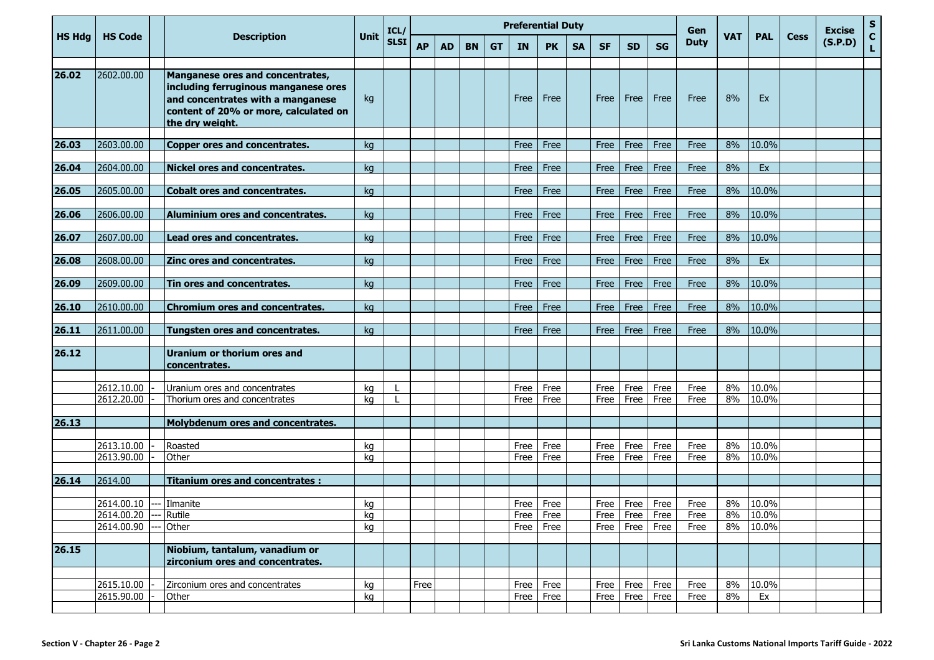|               |                          |                                                                                                                                                                                  | <b>Unit</b> | ICL/<br><b>SLSI</b> | <b>Preferential Duty</b> |           |           |           |              |              |           |              |              |                    | Gen          | <b>VAT</b> |                |             | <b>Excise</b> | ${\sf s}$          |
|---------------|--------------------------|----------------------------------------------------------------------------------------------------------------------------------------------------------------------------------|-------------|---------------------|--------------------------|-----------|-----------|-----------|--------------|--------------|-----------|--------------|--------------|--------------------|--------------|------------|----------------|-------------|---------------|--------------------|
| <b>HS Hdg</b> | <b>HS Code</b>           | <b>Description</b>                                                                                                                                                               |             |                     | <b>AP</b>                | <b>AD</b> | <b>BN</b> | <b>GT</b> | <b>IN</b>    | <b>PK</b>    | <b>SA</b> | <b>SF</b>    | <b>SD</b>    | <b>SG</b>          | <b>Duty</b>  |            | <b>PAL</b>     | <b>Cess</b> | (S.P.D)       | $\mathbf{C}$<br>L. |
|               |                          |                                                                                                                                                                                  |             |                     |                          |           |           |           |              |              |           |              |              |                    |              |            |                |             |               |                    |
| 26.02         | 2602.00.00               | <b>Manganese ores and concentrates,</b><br>including ferruginous manganese ores<br>and concentrates with a manganese<br>content of 20% or more, calculated on<br>the dry weight. | kg          |                     |                          |           |           |           | Free         | Free         |           | Free         | Free         | Free               | Free         | 8%         | Ex.            |             |               |                    |
| 26.03         | 2603.00.00               | <b>Copper ores and concentrates.</b>                                                                                                                                             | kg          |                     |                          |           |           |           | Free         | Free         |           | Free         | Free         | Free               | Free         | 8%         | 10.0%          |             |               |                    |
|               |                          |                                                                                                                                                                                  |             |                     |                          |           |           |           |              |              |           |              |              |                    |              |            |                |             |               |                    |
| 26.04         | 2604.00.00               | <b>Nickel ores and concentrates.</b>                                                                                                                                             | ka          |                     |                          |           |           |           | Free         | Free         |           | Free         | Free         | Free               | Free         | 8%         | Ex             |             |               |                    |
| 26.05         | 2605.00.00               | <b>Cobalt ores and concentrates.</b>                                                                                                                                             | kg          |                     |                          |           |           |           | Free         | Free         |           | Free         | Free         | Free               | Free         | 8%         | 10.0%          |             |               |                    |
| 26.06         | 2606.00.00               | Aluminium ores and concentrates.                                                                                                                                                 | kg          |                     |                          |           |           |           | Free         | Free         |           | Free         | Free         | Free               | Free         | 8%         | 10.0%          |             |               |                    |
|               |                          |                                                                                                                                                                                  |             |                     |                          |           |           |           |              |              |           |              |              |                    |              |            |                |             |               |                    |
| 26.07         | 2607.00.00               | <b>Lead ores and concentrates.</b>                                                                                                                                               | kg          |                     |                          |           |           |           | Free         | Free         |           | Free         | Free         | Free               | Free         | 8%         | 10.0%          |             |               |                    |
| 26.08         | 2608.00.00               | Zinc ores and concentrates.                                                                                                                                                      | kg          |                     |                          |           |           |           | Free         | Free         |           | Free         | Free         | Free               | Free         | 8%         | Ex             |             |               |                    |
|               |                          |                                                                                                                                                                                  |             |                     |                          |           |           |           |              |              |           |              |              |                    |              |            |                |             |               |                    |
| 26.09         | 2609.00.00               | Tin ores and concentrates.                                                                                                                                                       | kg          |                     |                          |           |           |           | Free         | Free         |           | Free         | Free         | Free               | Free         | 8%         | 10.0%          |             |               |                    |
| 26.10         | 2610.00.00               | Chromium ores and concentrates.                                                                                                                                                  | kg          |                     |                          |           |           |           | Free         | Free         |           | Free         | Free         | Free               | Free         | 8%         | 10.0%          |             |               |                    |
| 26.11         | 2611.00.00               | <b>Tungsten ores and concentrates.</b>                                                                                                                                           | kg          |                     |                          |           |           |           | Free         | Free         |           | Free         | Free         | Free               | Free         | 8%         | 10.0%          |             |               |                    |
| 26.12         |                          | <b>Uranium or thorium ores and</b><br>concentrates.                                                                                                                              |             |                     |                          |           |           |           |              |              |           |              |              |                    |              |            |                |             |               |                    |
|               |                          |                                                                                                                                                                                  |             |                     |                          |           |           |           |              |              |           |              |              |                    |              |            |                |             |               |                    |
|               | 2612.10.00<br>2612.20.00 | Uranium ores and concentrates<br>Thorium ores and concentrates                                                                                                                   | kg<br>kg    |                     |                          |           |           |           | Free<br>Free | Free<br>Free |           | Free<br>Free | Free<br>Free | Free<br>Free       | Free<br>Free | 8%<br>8%   | 10.0%<br>10.0% |             |               |                    |
|               |                          |                                                                                                                                                                                  |             |                     |                          |           |           |           |              |              |           |              |              |                    |              |            |                |             |               |                    |
| 26.13         |                          | Molybdenum ores and concentrates.                                                                                                                                                |             |                     |                          |           |           |           |              |              |           |              |              |                    |              |            |                |             |               |                    |
|               | 2613.10.00               | Roasted                                                                                                                                                                          | kg          |                     |                          |           |           |           | Free         | Free         |           | Free         | Free         | Free               | Free         | 8%         | 10.0%          |             |               |                    |
|               | 2613.90.00               | Other                                                                                                                                                                            | kg          |                     |                          |           |           |           | Free         | Free         |           | Free         | Free         | Free               | Free         | 8%         | 10.0%          |             |               |                    |
|               |                          |                                                                                                                                                                                  |             |                     |                          |           |           |           |              |              |           |              |              |                    |              |            |                |             |               |                    |
| 26.14         | 2614.00                  | <b>Titanium ores and concentrates:</b>                                                                                                                                           |             |                     |                          |           |           |           |              |              |           |              |              |                    |              |            |                |             |               |                    |
|               | 2614.00.10 --- Ilmanite  |                                                                                                                                                                                  | kg          |                     |                          |           |           |           | Free         | Free         |           | Free         | Free         | Free               | Free         | 8%         | 10.0%          |             |               |                    |
|               | 2614.00.20 --- Rutile    |                                                                                                                                                                                  | kg          |                     |                          |           |           |           |              | Free Free    |           |              |              | Free   Free   Free | Free         |            | 8% 10.0%       |             |               |                    |
|               | 2614.00.90               | Other                                                                                                                                                                            | kg          |                     |                          |           |           |           |              | Free Free    |           | Free         |              | Free Free          | Free         | 8%         | 10.0%          |             |               |                    |
| 26.15         |                          | Niobium, tantalum, vanadium or<br>zirconium ores and concentrates.                                                                                                               |             |                     |                          |           |           |           |              |              |           |              |              |                    |              |            |                |             |               |                    |
|               |                          |                                                                                                                                                                                  |             |                     |                          |           |           |           |              |              |           |              |              |                    |              |            |                |             |               |                    |
|               | 2615.10.00               | Zirconium ores and concentrates                                                                                                                                                  | kg          |                     | Free                     |           |           |           |              | Free Free    |           | Free         | Free         | Free               | Free         | 8%         | 10.0%          |             |               |                    |
|               | 2615.90.00               | Other                                                                                                                                                                            | kg          |                     |                          |           |           |           |              | Free Free    |           | Free         | Free         | Free               | Free         | 8%         | Ex             |             |               |                    |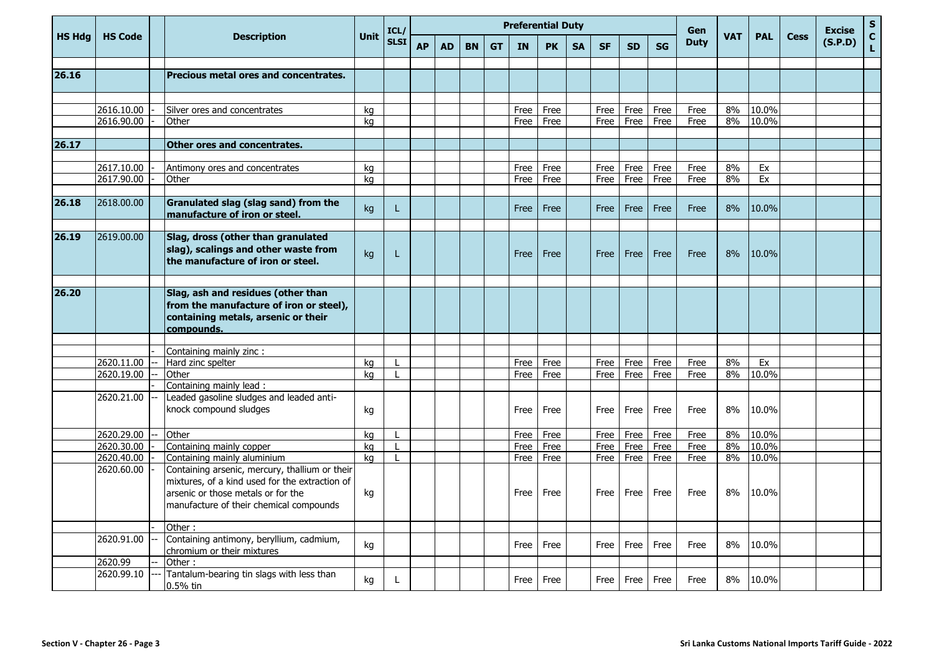| <b>HS Hdg</b> | <b>HS Code</b> | <b>Description</b>                                                                                                                                                                | <b>Unit</b> | ICL/        | <b>Preferential Duty</b> |           |           |           |           |           |           |           |           |           |             | <b>VAT</b> | <b>PAL</b> | <b>Cess</b> | <b>Excise</b> | ${\sf s}$<br>$\mathbf{C}$ |
|---------------|----------------|-----------------------------------------------------------------------------------------------------------------------------------------------------------------------------------|-------------|-------------|--------------------------|-----------|-----------|-----------|-----------|-----------|-----------|-----------|-----------|-----------|-------------|------------|------------|-------------|---------------|---------------------------|
|               |                |                                                                                                                                                                                   |             | <b>SLSI</b> | <b>AP</b>                | <b>AD</b> | <b>BN</b> | <b>GT</b> | <b>IN</b> | <b>PK</b> | <b>SA</b> | <b>SF</b> | <b>SD</b> | <b>SG</b> | <b>Duty</b> |            |            |             | (S.P.D)       | L                         |
| 26.16         |                | Precious metal ores and concentrates.                                                                                                                                             |             |             |                          |           |           |           |           |           |           |           |           |           |             |            |            |             |               |                           |
|               |                |                                                                                                                                                                                   |             |             |                          |           |           |           |           |           |           |           |           |           |             |            |            |             |               |                           |
|               |                |                                                                                                                                                                                   |             |             |                          |           |           |           |           |           |           |           |           |           |             |            |            |             |               |                           |
|               | 2616.10.00     | Silver ores and concentrates                                                                                                                                                      | kg          |             |                          |           |           |           | Free      | Free      |           | Free      | Free      | Free      | Free        | 8%         | 10.0%      |             |               |                           |
|               | 2616.90.00     | Other                                                                                                                                                                             | ka          |             |                          |           |           |           | Free      | Free      |           | Free      | Free      | Free      | Free        | 8%         | 10.0%      |             |               |                           |
|               |                |                                                                                                                                                                                   |             |             |                          |           |           |           |           |           |           |           |           |           |             |            |            |             |               |                           |
| 26.17         |                | <b>Other ores and concentrates.</b>                                                                                                                                               |             |             |                          |           |           |           |           |           |           |           |           |           |             |            |            |             |               |                           |
|               | 2617.10.00     | Antimony ores and concentrates                                                                                                                                                    | kg          |             |                          |           |           |           | Free      | Free      |           | Free      | Free      | Free      | Free        | 8%         | Ex         |             |               |                           |
|               | 2617.90.00     | Other                                                                                                                                                                             | kg          |             |                          |           |           |           | Free      | Free      |           | Free      | Free      | Free      | Free        | 8%         | Ex         |             |               |                           |
|               |                |                                                                                                                                                                                   |             |             |                          |           |           |           |           |           |           |           |           |           |             |            |            |             |               |                           |
| 26.18         | 2618.00.00     | Granulated slag (slag sand) from the<br>manufacture of iron or steel.                                                                                                             | kg          | L           |                          |           |           |           | Free      | Free      |           | Free      | Free      | Free      | Free        | 8%         | 10.0%      |             |               |                           |
|               |                |                                                                                                                                                                                   |             |             |                          |           |           |           |           |           |           |           |           |           |             |            |            |             |               |                           |
| 26.19         | 2619.00.00     | Slag, dross (other than granulated<br>slag), scalings and other waste from<br>the manufacture of iron or steel.                                                                   | kg          | т.          |                          |           |           |           | Free      | Free      |           | Free      | Free      | Free      | Free        | 8%         | 10.0%      |             |               |                           |
|               |                |                                                                                                                                                                                   |             |             |                          |           |           |           |           |           |           |           |           |           |             |            |            |             |               |                           |
| 26.20         |                | Slag, ash and residues (other than<br>from the manufacture of iron or steel),<br>containing metals, arsenic or their<br>compounds.                                                |             |             |                          |           |           |           |           |           |           |           |           |           |             |            |            |             |               |                           |
|               |                |                                                                                                                                                                                   |             |             |                          |           |           |           |           |           |           |           |           |           |             |            |            |             |               |                           |
|               |                | Containing mainly zinc :                                                                                                                                                          |             |             |                          |           |           |           |           |           |           |           |           |           |             |            |            |             |               |                           |
|               | 2620.11.00     | Hard zinc spelter                                                                                                                                                                 | ka          |             |                          |           |           |           | Free      | Free      |           | Free      | Free      | Free      | Free        | 8%         | Ex         |             |               |                           |
|               | 2620.19.00     | Other                                                                                                                                                                             | kg          |             |                          |           |           |           | Free      | Free      |           | Free      | Free      | Free      | Free        | 8%         | 10.0%      |             |               |                           |
|               |                | Containing mainly lead:                                                                                                                                                           |             |             |                          |           |           |           |           |           |           |           |           |           |             |            |            |             |               |                           |
|               | 2620.21.00     | Leaded gasoline sludges and leaded anti-<br>knock compound sludges                                                                                                                | kg          |             |                          |           |           |           | Free      | Free      |           | Free      | Free      | Free      | Free        | 8%         | 10.0%      |             |               |                           |
|               | 2620.29.00     | Other                                                                                                                                                                             | kg          |             |                          |           |           |           | Free      | Free      |           | Free      | Free      | Free      | Free        | 8%         | 10.0%      |             |               |                           |
|               | 2620.30.00     | Containing mainly copper                                                                                                                                                          | kg          |             |                          |           |           |           | Free      | Free      |           | Free      | Free      | Free      | Free        | 8%         | 10.0%      |             |               |                           |
|               | 2620.40.00     | Containing mainly aluminium                                                                                                                                                       | kg          | L           |                          |           |           |           | Free      | Free      |           | Free      | Free      | Free      | Free        | 8%         | 10.0%      |             |               |                           |
|               | 2620.60.00     | Containing arsenic, mercury, thallium or their<br>mixtures, of a kind used for the extraction of<br>arsenic or those metals or for the<br>manufacture of their chemical compounds | kg          |             |                          |           |           |           | Free      | Free      |           | Free      | Free      | Free      | Free        | 8%         | 10.0%      |             |               |                           |
|               |                | Other:                                                                                                                                                                            |             |             |                          |           |           |           |           |           |           |           |           |           |             |            |            |             |               |                           |
|               | 2620.91.00     | Containing antimony, beryllium, cadmium,<br>chromium or their mixtures                                                                                                            | kg          |             |                          |           |           |           | Free      | Free      |           | Free      | Free      | Free      | Free        | 8%         | 10.0%      |             |               |                           |
|               | 2620.99        | Other:                                                                                                                                                                            |             |             |                          |           |           |           |           |           |           |           |           |           |             |            |            |             |               |                           |
|               | 2620.99.10     | Tantalum-bearing tin slags with less than<br>0.5% tin                                                                                                                             | kg          | L           |                          |           |           |           | Free      | Free      |           | Free      | Free      | Free      | Free        | 8%         | 10.0%      |             |               |                           |